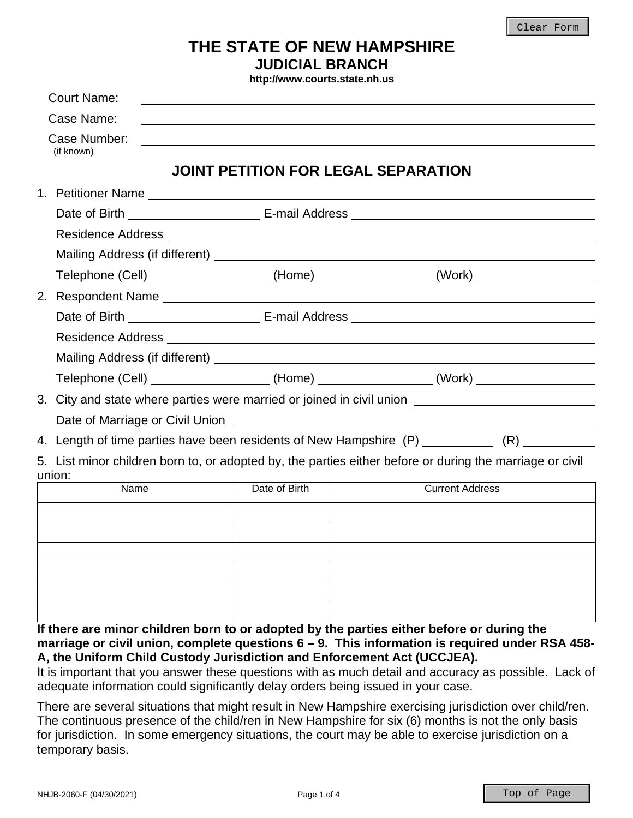# **THE STATE OF NEW HAMPSHIRE JUDICIAL BRANCH**

**http://www.courts.state.nh.us**

| <b>Court Name:</b>                                                                         |               |                                                                                                          |
|--------------------------------------------------------------------------------------------|---------------|----------------------------------------------------------------------------------------------------------|
| Case Name:                                                                                 |               |                                                                                                          |
| Case Number:<br>(if known)                                                                 |               |                                                                                                          |
|                                                                                            |               | JOINT PETITION FOR LEGAL SEPARATION                                                                      |
|                                                                                            |               |                                                                                                          |
|                                                                                            |               |                                                                                                          |
|                                                                                            |               |                                                                                                          |
|                                                                                            |               |                                                                                                          |
|                                                                                            |               | Telephone (Cell) ____________________(Home) ________________(Work) _____________                         |
|                                                                                            |               |                                                                                                          |
|                                                                                            |               |                                                                                                          |
|                                                                                            |               |                                                                                                          |
|                                                                                            |               |                                                                                                          |
|                                                                                            |               | Telephone (Cell) ___________________(Home) ________________(Work) ______________                         |
|                                                                                            |               | 3. City and state where parties were married or joined in civil union ______________________________     |
| Date of Marriage or Civil Union <b>contract to the Contract of Marriage or Civil Union</b> |               |                                                                                                          |
|                                                                                            |               | 4. Length of time parties have been residents of New Hampshire (P) ____________ (R) __________           |
|                                                                                            |               | 5. List minor children born to, or adopted by, the parties either before or during the marriage or civil |
| union:<br>Name                                                                             | Date of Birth | <b>Current Address</b>                                                                                   |
|                                                                                            |               |                                                                                                          |
|                                                                                            |               |                                                                                                          |
|                                                                                            |               |                                                                                                          |
|                                                                                            |               |                                                                                                          |
|                                                                                            |               |                                                                                                          |
|                                                                                            |               |                                                                                                          |
|                                                                                            |               | If there are minor children born to or adopted by the parties either before or during the                |

**marriage or civil union, complete questions 6 – 9. This information is required under RSA 458- A, the Uniform Child Custody Jurisdiction and Enforcement Act (UCCJEA).** 

It is important that you answer these questions with as much detail and accuracy as possible. Lack of adequate information could significantly delay orders being issued in your case.

There are several situations that might result in New Hampshire exercising jurisdiction over child/ren. The continuous presence of the child/ren in New Hampshire for six (6) months is not the only basis for jurisdiction. In some emergency situations, the court may be able to exercise jurisdiction on a temporary basis.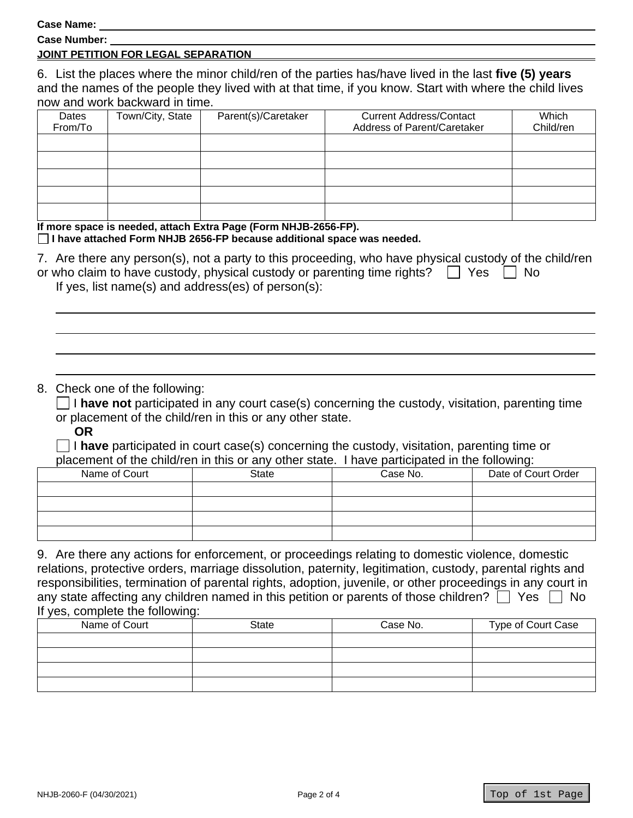**Case Name:** 

**Case Number:** 

### **JOINT PETITION FOR LEGAL SEPARATION**

6. List the places where the minor child/ren of the parties has/have lived in the last **five (5) years** and the names of the people they lived with at that time, if you know. Start with where the child lives now and work backward in time.

| Dates   | Town/City, State | Parent(s)/Caretaker | <b>Current Address/Contact</b> | Which     |
|---------|------------------|---------------------|--------------------------------|-----------|
| From/To |                  |                     | Address of Parent/Caretaker    | Child/ren |
|         |                  |                     |                                |           |
|         |                  |                     |                                |           |
|         |                  |                     |                                |           |
|         |                  |                     |                                |           |
|         |                  |                     |                                |           |

#### **If more space is needed, attach Extra Page (Form NHJB-2656-FP).**

#### **I have attached Form NHJB 2656-FP because additional space was needed.**

| 7. Are there any person(s), not a party to this proceeding, who have physical custody of the child/ren |  |  |
|--------------------------------------------------------------------------------------------------------|--|--|
| or who claim to have custody, physical custody or parenting time rights? $\Box$ Yes $\Box$ No          |  |  |
| If $\cos \theta$ is the second (a) and addressed at $\sin \theta$ and $(\alpha)$ .                     |  |  |

If yes, list name(s) and address(es) of person(s):

## 8. Check one of the following:

 $\Box$  I have not participated in any court case(s) concerning the custody, visitation, parenting time or placement of the child/ren in this or any other state.

**OR**

 I **have** participated in court case(s) concerning the custody, visitation, parenting time or placement of the child/ren in this or any other state. I have participated in the following:

| _  . _ . _ _ . |              |          |                     |
|----------------|--------------|----------|---------------------|
| Name of Court  | <b>State</b> | Case No. | Date of Court Order |
|                |              |          |                     |
|                |              |          |                     |
|                |              |          |                     |
|                |              |          |                     |

9. Are there any actions for enforcement, or proceedings relating to domestic violence, domestic relations, protective orders, marriage dissolution, paternity, legitimation, custody, parental rights and responsibilities, termination of parental rights, adoption, juvenile, or other proceedings in any court in any state affecting any children named in this petition or parents of those children?  $\Box$  Yes  $\Box$  No If yes, complete the following:

| Name of Court | <b>State</b> | Case No. | Type of Court Case |
|---------------|--------------|----------|--------------------|
|               |              |          |                    |
|               |              |          |                    |
|               |              |          |                    |
|               |              |          |                    |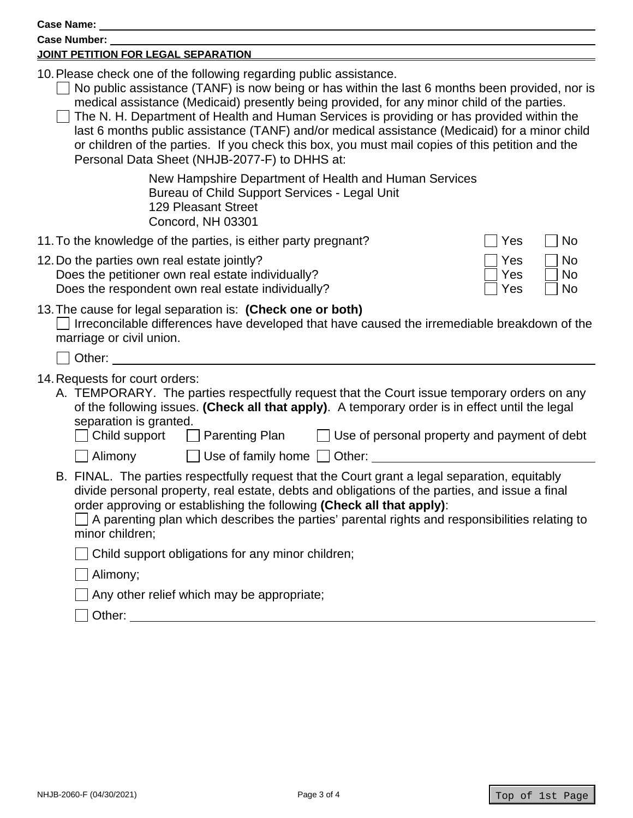| Case Name:                                                                                                                                                                                                                                                                                                                                                                                                                                                                                                                                                                                                             |
|------------------------------------------------------------------------------------------------------------------------------------------------------------------------------------------------------------------------------------------------------------------------------------------------------------------------------------------------------------------------------------------------------------------------------------------------------------------------------------------------------------------------------------------------------------------------------------------------------------------------|
| <b>Case Number:</b>                                                                                                                                                                                                                                                                                                                                                                                                                                                                                                                                                                                                    |
| JOINT PETITION FOR LEGAL SEPARATION.                                                                                                                                                                                                                                                                                                                                                                                                                                                                                                                                                                                   |
| 10. Please check one of the following regarding public assistance.<br>No public assistance (TANF) is now being or has within the last 6 months been provided, nor is<br>medical assistance (Medicaid) presently being provided, for any minor child of the parties.<br>The N. H. Department of Health and Human Services is providing or has provided within the<br>last 6 months public assistance (TANF) and/or medical assistance (Medicaid) for a minor child<br>or children of the parties. If you check this box, you must mail copies of this petition and the<br>Personal Data Sheet (NHJB-2077-F) to DHHS at: |
| New Hampshire Department of Health and Human Services<br>Bureau of Child Support Services - Legal Unit<br><b>129 Pleasant Street</b><br>Concord, NH 03301                                                                                                                                                                                                                                                                                                                                                                                                                                                              |
| 11. To the knowledge of the parties, is either party pregnant?<br>Yes<br>No                                                                                                                                                                                                                                                                                                                                                                                                                                                                                                                                            |
| 12. Do the parties own real estate jointly?<br>Yes<br><b>No</b><br>Does the petitioner own real estate individually?<br><b>No</b><br>Yes<br>Does the respondent own real estate individually?<br>Yes<br>No                                                                                                                                                                                                                                                                                                                                                                                                             |
| 13. The cause for legal separation is: (Check one or both)<br>Irreconcilable differences have developed that have caused the irremediable breakdown of the<br>marriage or civil union.<br>Other:                                                                                                                                                                                                                                                                                                                                                                                                                       |
|                                                                                                                                                                                                                                                                                                                                                                                                                                                                                                                                                                                                                        |
| 14. Requests for court orders:<br>A. TEMPORARY. The parties respectfully request that the Court issue temporary orders on any<br>of the following issues. (Check all that apply). A temporary order is in effect until the legal<br>separation is granted.<br>Child support<br>$\Box$ Parenting Plan<br>Use of personal property and payment of debt<br>$\Box$ Alimony<br>$\Box$ Use of family home $\Box$ Other:                                                                                                                                                                                                      |
| B. FINAL. The parties respectfully request that the Court grant a legal separation, equitably<br>divide personal property, real estate, debts and obligations of the parties, and issue a final<br>order approving or establishing the following (Check all that apply):<br>A parenting plan which describes the parties' parental rights and responsibilities relating to<br>minor children;<br>Child support obligations for any minor children;<br>Alimony;<br>Any other relief which may be appropriate;                                                                                                           |
| Other: University of the Charles of the Charles of the Charles of the Charles of the Charles of the Charles of the Charles of the Charles of the Charles of the Charles of the Charles of the Charles of the Charles of the Ch                                                                                                                                                                                                                                                                                                                                                                                         |